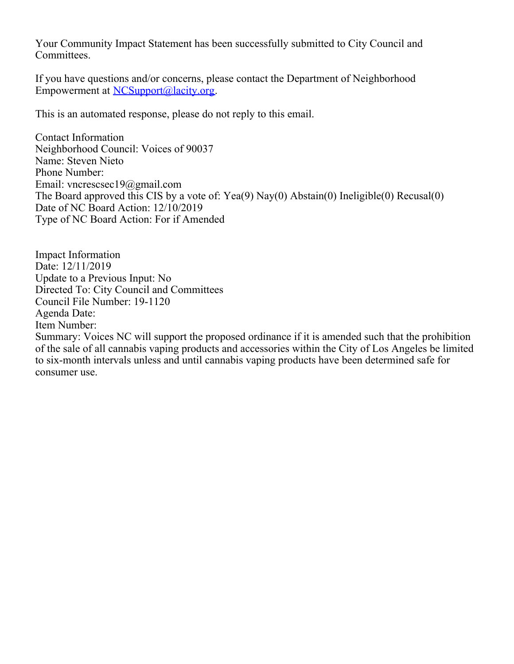Your Community Impact Statement has been successfully submitted to City Council and Committees.

If you have questions and/or concerns, please contact the Department of Neighborhood Empowerment at [NCSupport@lacity.org](mailto:NCSupport@lacity.org).

This is an automated response, please do not reply to this email.

Contact Information Neighborhood Council: Voices of 90037 Name: Steven Nieto Phone Number: Email: vncrescsec19@gmail.com The Board approved this CIS by a vote of: Yea(9) Nay(0) Abstain(0) Ineligible(0) Recusal(0) Date of NC Board Action: 12/10/2019 Type of NC Board Action: For if Amended

Impact Information Date: 12/11/2019 Update to a Previous Input: No Directed To: City Council and Committees Council File Number: 19-1120 Agenda Date: Item Number:

Summary: Voices NC will support the proposed ordinance if it is amended such that the prohibition of the sale of all cannabis vaping products and accessories within the City of Los Angeles be limited to six-month intervals unless and until cannabis vaping products have been determined safe for consumer use.